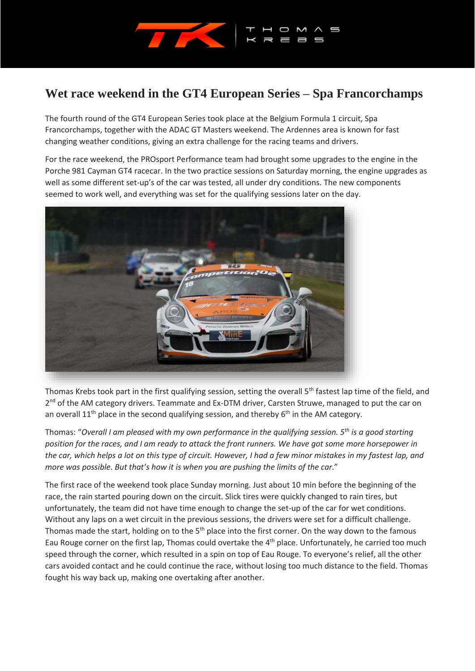

## **Wet race weekend in the GT4 European Series – Spa Francorchamps**

The fourth round of the GT4 European Series took place at the Belgium Formula 1 circuit, Spa Francorchamps, together with the ADAC GT Masters weekend. The Ardennes area is known for fast changing weather conditions, giving an extra challenge for the racing teams and drivers.

For the race weekend, the PROsport Performance team had brought some upgrades to the engine in the Porche 981 Cayman GT4 racecar. In the two practice sessions on Saturday morning, the engine upgrades as well as some different set-up's of the car was tested, all under dry conditions. The new components seemed to work well, and everything was set for the qualifying sessions later on the day.



Thomas Krebs took part in the first qualifying session, setting the overall 5<sup>th</sup> fastest lap time of the field, and 2<sup>nd</sup> of the AM category drivers. Teammate and Ex-DTM driver, Carsten Struwe, managed to put the car on an overall  $11<sup>th</sup>$  place in the second qualifying session, and thereby  $6<sup>th</sup>$  in the AM category.

Thomas: "*Overall I am pleased with my own performance in the qualifying session. 5th is a good starting position for the races, and I am ready to attack the front runners. We have got some more horsepower in the car, which helps a lot on this type of circuit. However, I had a few minor mistakes in my fastest lap, and more was possible. But that's how it is when you are pushing the limits of the car.*"

The first race of the weekend took place Sunday morning. Just about 10 min before the beginning of the race, the rain started pouring down on the circuit. Slick tires were quickly changed to rain tires, but unfortunately, the team did not have time enough to change the set-up of the car for wet conditions. Without any laps on a wet circuit in the previous sessions, the drivers were set for a difficult challenge. Thomas made the start, holding on to the  $5<sup>th</sup>$  place into the first corner. On the way down to the famous Eau Rouge corner on the first lap, Thomas could overtake the 4<sup>th</sup> place. Unfortunately, he carried too much speed through the corner, which resulted in a spin on top of Eau Rouge. To everyone's relief, all the other cars avoided contact and he could continue the race, without losing too much distance to the field. Thomas fought his way back up, making one overtaking after another.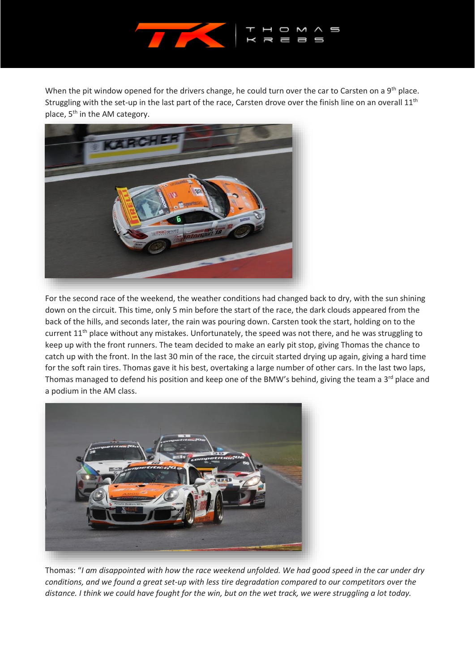

When the pit window opened for the drivers change, he could turn over the car to Carsten on a 9<sup>th</sup> place. Struggling with the set-up in the last part of the race, Carsten drove over the finish line on an overall  $11<sup>th</sup>$ place, 5<sup>th</sup> in the AM category.



For the second race of the weekend, the weather conditions had changed back to dry, with the sun shining down on the circuit. This time, only 5 min before the start of the race, the dark clouds appeared from the back of the hills, and seconds later, the rain was pouring down. Carsten took the start, holding on to the current 11<sup>th</sup> place without any mistakes. Unfortunately, the speed was not there, and he was struggling to keep up with the front runners. The team decided to make an early pit stop, giving Thomas the chance to catch up with the front. In the last 30 min of the race, the circuit started drying up again, giving a hard time for the soft rain tires. Thomas gave it his best, overtaking a large number of other cars. In the last two laps, Thomas managed to defend his position and keep one of the BMW's behind, giving the team a  $3^{rd}$  place and a podium in the AM class.



Thomas: "*I am disappointed with how the race weekend unfolded. We had good speed in the car under dry conditions, and we found a great set-up with less tire degradation compared to our competitors over the distance. I think we could have fought for the win, but on the wet track, we were struggling a lot today.*